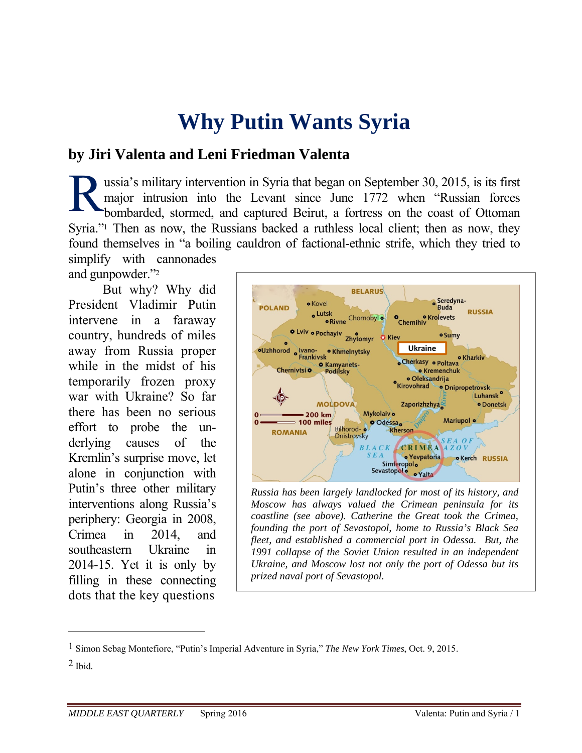# **Why Putin Wants Syria**

# **by Jiri Valenta and Leni Friedman Valenta**

ussia's military intervention in Syria that began on September 30, 2015, is its first major intrusion into the Levant since June 1772 when "Russian forces bombarded, stormed, and captured Beirut, a fortress on the coast of Ottoman Syria."<sup>1</sup> Then as now, the Russians backed a ruthless local client; then as now, they found themselves in "a boiling cauldron of factional-ethnic strife, which they tried to simplify with cannonades R

and gunpowder."2

But why? Why did President Vladimir Putin intervene in a faraway country, hundreds of miles away from Russia proper while in the midst of his temporarily frozen proxy war with Ukraine? So far there has been no serious effort to probe the underlying causes of the Kremlin's surprise move, let alone in conjunction with Putin's three other military interventions along Russia's periphery: Georgia in 2008, Crimea in 2014, and southeastern Ukraine in 2014-15. Yet it is only by filling in these connecting dots that the key questions



*Russia has been largely landlocked for most of its history, and Moscow has always valued the Crimean peninsula for its coastline (see above). Catherine the Great took the Crimea, founding the port of Sevastopol, home to Russia's Black Sea fleet, and established a commercial port in Odessa. But, the 1991 collapse of the Soviet Union resulted in an independent Ukraine, and Moscow lost not only the port of Odessa but its prized naval port of Sevastopol.* 

<sup>1</sup> Simon Sebag Montefiore, "Putin's Imperial Adventure in Syria," *The New York Times*, Oct. 9, 2015.

<sup>2</sup> Ibid*.*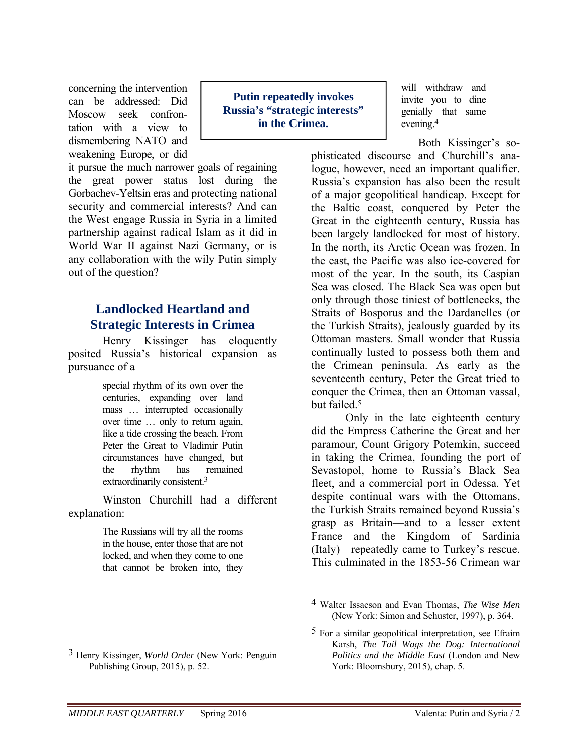concerning the intervention can be addressed: Did Moscow seek confrontation with a view to dismembering NATO and weakening Europe, or did

it pursue the much narrower goals of regaining the great power status lost during the Gorbachev-Yeltsin eras and protecting national security and commercial interests? And can the West engage Russia in Syria in a limited partnership against radical Islam as it did in World War II against Nazi Germany, or is any collaboration with the wily Putin simply out of the question?

# **Landlocked Heartland and Strategic Interests in Crimea**

Henry Kissinger has eloquently posited Russia's historical expansion as pursuance of a

> special rhythm of its own over the centuries, expanding over land mass … interrupted occasionally over time … only to return again, like a tide crossing the beach. From Peter the Great to Vladimir Putin circumstances have changed, but the rhythm has remained extraordinarily consistent.3

Winston Churchill had a different explanation:

> The Russians will try all the rooms in the house, enter those that are not locked, and when they come to one that cannot be broken into, they

**Putin repeatedly invokes Russia's "strategic interests" in the Crimea.** 

will withdraw and invite you to dine genially that same evening.4

Both Kissinger's so-

phisticated discourse and Churchill's analogue, however, need an important qualifier. Russia's expansion has also been the result of a major geopolitical handicap. Except for the Baltic coast, conquered by Peter the Great in the eighteenth century, Russia has been largely landlocked for most of history. In the north, its Arctic Ocean was frozen. In the east, the Pacific was also ice-covered for most of the year. In the south, its Caspian Sea was closed. The Black Sea was open but only through those tiniest of bottlenecks, the Straits of Bosporus and the Dardanelles (or the Turkish Straits), jealously guarded by its Ottoman masters. Small wonder that Russia continually lusted to possess both them and the Crimean peninsula. As early as the seventeenth century, Peter the Great tried to conquer the Crimea, then an Ottoman vassal, but failed<sup>5</sup>

Only in the late eighteenth century did the Empress Catherine the Great and her paramour, Count Grigory Potemkin, succeed in taking the Crimea, founding the port of Sevastopol, home to Russia's Black Sea fleet, and a commercial port in Odessa. Yet despite continual wars with the Ottomans, the Turkish Straits remained beyond Russia's grasp as Britain—and to a lesser extent France and the Kingdom of Sardinia (Italy)—repeatedly came to Turkey's rescue. This culminated in the 1853-56 Crimean war

 $\overline{a}$ 

<sup>4</sup> Walter Issacson and Evan Thomas, *The Wise Men*  (New York: Simon and Schuster, 1997), p. 364.

<sup>5</sup> For a similar geopolitical interpretation, see Efraim Karsh, *The Tail Wags the Dog: International Politics and the Middle East* (London and New York: Bloomsbury, 2015), chap. 5.

<sup>3</sup> Henry Kissinger, *World Order* (New York: Penguin Publishing Group, 2015), p. 52.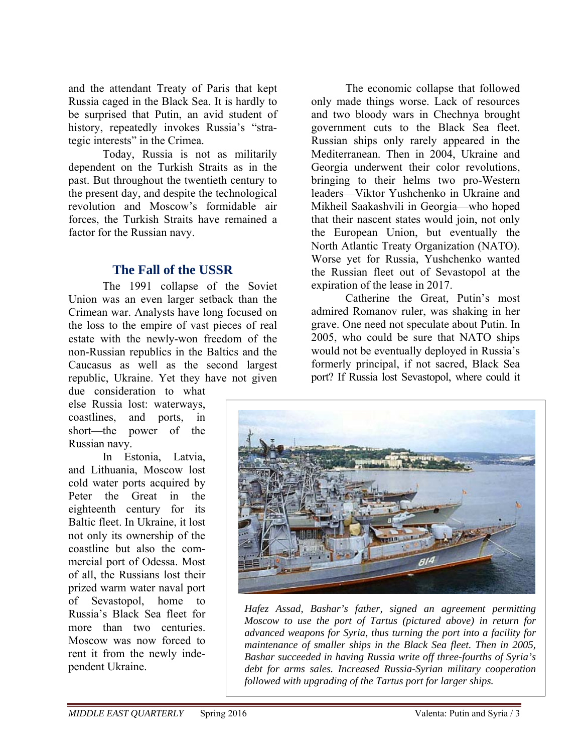and the attendant Treaty of Paris that kept Russia caged in the Black Sea. It is hardly to be surprised that Putin, an avid student of history, repeatedly invokes Russia's "strategic interests" in the Crimea.

Today, Russia is not as militarily dependent on the Turkish Straits as in the past. But throughout the twentieth century to the present day, and despite the technological revolution and Moscow's formidable air forces, the Turkish Straits have remained a factor for the Russian navy.

#### **The Fall of the USSR**

The 1991 collapse of the Soviet Union was an even larger setback than the Crimean war. Analysts have long focused on the loss to the empire of vast pieces of real estate with the newly-won freedom of the non-Russian republics in the Baltics and the Caucasus as well as the second largest republic, Ukraine. Yet they have not given

due consideration to what else Russia lost: waterways, coastlines, and ports, in short—the power of the Russian navy.

In Estonia, Latvia, and Lithuania, Moscow lost cold water ports acquired by Peter the Great in the eighteenth century for its Baltic fleet. In Ukraine, it lost not only its ownership of the coastline but also the commercial port of Odessa. Most of all, the Russians lost their prized warm water naval port of Sevastopol, home to Russia's Black Sea fleet for more than two centuries. Moscow was now forced to rent it from the newly independent Ukraine.

The economic collapse that followed only made things worse. Lack of resources and two bloody wars in Chechnya brought government cuts to the Black Sea fleet. Russian ships only rarely appeared in the Mediterranean. Then in 2004, Ukraine and Georgia underwent their color revolutions, bringing to their helms two pro-Western leaders—Viktor Yushchenko in Ukraine and Mikheil Saakashvili in Georgia—who hoped that their nascent states would join, not only the European Union, but eventually the North Atlantic Treaty Organization (NATO). Worse yet for Russia, Yushchenko wanted the Russian fleet out of Sevastopol at the expiration of the lease in 2017.

Catherine the Great, Putin's most admired Romanov ruler, was shaking in her grave. One need not speculate about Putin. In 2005, who could be sure that NATO ships would not be eventually deployed in Russia's formerly principal, if not sacred, Black Sea port? If Russia lost Sevastopol, where could it



*Hafez Assad, Bashar's father, signed an agreement permitting Moscow to use the port of Tartus (pictured above) in return for advanced weapons for Syria, thus turning the port into a facility for maintenance of smaller ships in the Black Sea fleet. Then in 2005, Bashar succeeded in having Russia write off three-fourths of Syria's debt for arms sales. Increased Russia-Syrian military cooperation followed with upgrading of the Tartus port for larger ships.*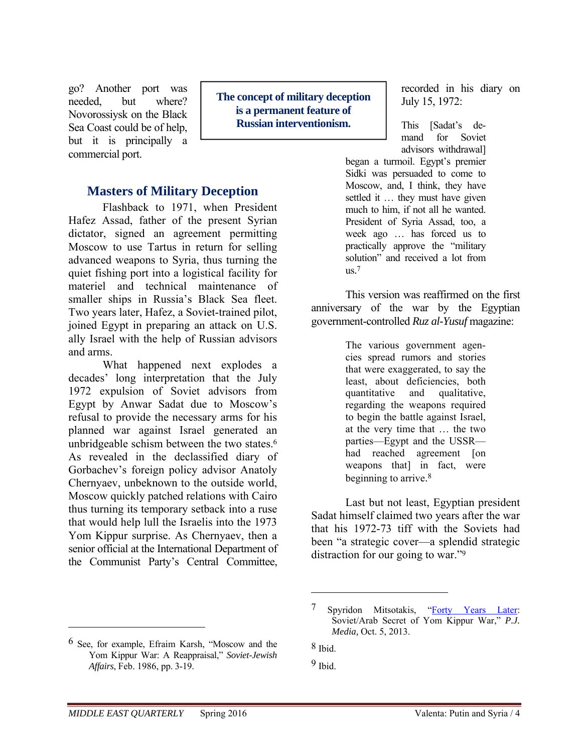go? Another port was needed, but where? Novorossiysk on the Black Sea Coast could be of help, but it is principally a commercial port.

# **is a permanent feature of Russian interventionism.**

**The concept of military deception** 

#### **Masters of Military Deception**

Flashback to 1971, when President Hafez Assad, father of the present Syrian dictator, signed an agreement permitting Moscow to use Tartus in return for selling advanced weapons to Syria, thus turning the quiet fishing port into a logistical facility for materiel and technical maintenance of smaller ships in Russia's Black Sea fleet. Two years later, Hafez, a Soviet-trained pilot, joined Egypt in preparing an attack on U.S. ally Israel with the help of Russian advisors and arms.

What happened next explodes a decades' long interpretation that the July 1972 expulsion of Soviet advisors from Egypt by Anwar Sadat due to Moscow's refusal to provide the necessary arms for his planned war against Israel generated an unbridgeable schism between the two states.6 As revealed in the declassified diary of Gorbachev's foreign policy advisor Anatoly Chernyaev, unbeknown to the outside world, Moscow quickly patched relations with Cairo thus turning its temporary setback into a ruse that would help lull the Israelis into the 1973 Yom Kippur surprise. As Chernyaev, then a senior official at the International Department of the Communist Party's Central Committee,

6 See, for example, Efraim Karsh, "Moscow and the Yom Kippur War: A Reappraisal," *Soviet-Jewish Affairs*, Feb. 1986, pp. 3-19.

recorded in his diary on July 15, 1972:

This [Sadat's demand for Soviet advisors withdrawal]

began a turmoil. Egypt's premier Sidki was persuaded to come to Moscow, and, I think, they have settled it … they must have given much to him, if not all he wanted. President of Syria Assad, too, a week ago … has forced us to practically approve the "military solution" and received a lot from us. 7

This version was reaffirmed on the first anniversary of the war by the Egyptian government-controlled *Ruz al-Yusuf* magazine:

> The various government agencies spread rumors and stories that were exaggerated, to say the least, about deficiencies, both quantitative and qualitative, regarding the weapons required to begin the battle against Israel, at the very time that … the two parties—Egypt and the USSR had reached agreement [on weapons that] in fact, were beginning to arrive. 8

Last but not least, Egyptian president Sadat himself claimed two years after the war that his 1972-73 tiff with the Soviets had been "a strategic cover—a splendid strategic distraction for our going to war."9

 $\overline{a}$ 

<sup>7</sup> Spyridon Mitsotakis, "Forty Years Later: Soviet/Arab Secret of Yom Kippur War," *P.J. Media,* Oct. 5, 2013.

<sup>8</sup> Ibid.

<sup>9</sup> Ibid.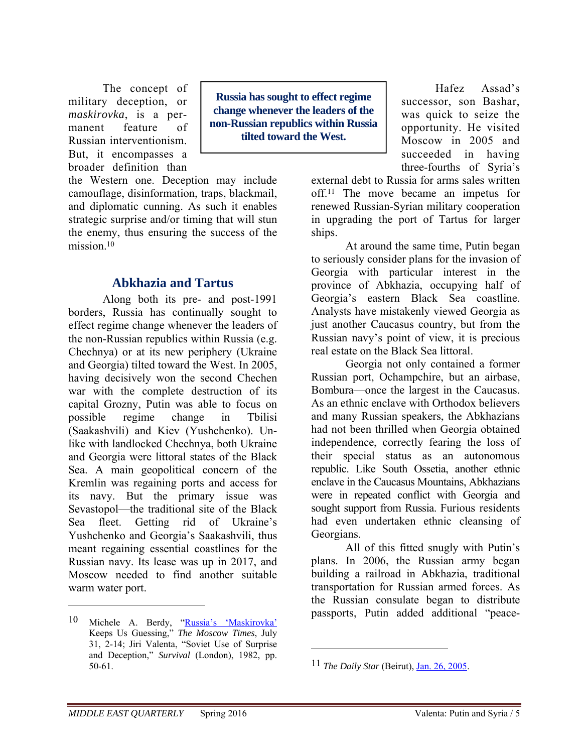The concept of military deception, or *maskirovka*, is a permanent feature of Russian interventionism. But, it encompasses a broader definition than

the Western one. Deception may include camouflage, disinformation, traps, blackmail, and diplomatic cunning. As such it enables strategic surprise and/or timing that will stun the enemy, thus ensuring the success of the mission $10$ 

#### **Abkhazia and Tartus**

Along both its pre- and post-1991 borders, Russia has continually sought to effect regime change whenever the leaders of the non-Russian republics within Russia (e.g. Chechnya) or at its new periphery (Ukraine and Georgia) tilted toward the West. In 2005, having decisively won the second Chechen war with the complete destruction of its capital Grozny, Putin was able to focus on possible regime change in Tbilisi (Saakashvili) and Kiev (Yushchenko). Unlike with landlocked Chechnya, both Ukraine and Georgia were littoral states of the Black Sea. A main geopolitical concern of the Kremlin was regaining ports and access for its navy. But the primary issue was Sevastopol—the traditional site of the Black Sea fleet. Getting rid of Ukraine's Yushchenko and Georgia's Saakashvili, thus meant regaining essential coastlines for the Russian navy. Its lease was up in 2017, and Moscow needed to find another suitable warm water port.

**Russia has sought to effect regime change whenever the leaders of the non-Russian republics within Russia tilted toward the West.** 

Hafez Assad's successor, son Bashar, was quick to seize the opportunity. He visited Moscow in 2005 and succeeded in having three-fourths of Syria's

external debt to Russia for arms sales written off.11 The move became an impetus for renewed Russian-Syrian military cooperation in upgrading the port of Tartus for larger ships.

At around the same time, Putin began to seriously consider plans for the invasion of Georgia with particular interest in the province of Abkhazia, occupying half of Georgia's eastern Black Sea coastline. Analysts have mistakenly viewed Georgia as just another Caucasus country, but from the Russian navy's point of view, it is precious real estate on the Black Sea littoral.

Georgia not only contained a former Russian port, Ochampchire, but an airbase, Bombura—once the largest in the Caucasus. As an ethnic enclave with Orthodox believers and many Russian speakers, the Abkhazians had not been thrilled when Georgia obtained independence, correctly fearing the loss of their special status as an autonomous republic. Like South Ossetia, another ethnic enclave in the Caucasus Mountains, Abkhazians were in repeated conflict with Georgia and sought support from Russia. Furious residents had even undertaken ethnic cleansing of Georgians.

All of this fitted snugly with Putin's plans. In 2006, the Russian army began building a railroad in Abkhazia, traditional transportation for Russian armed forces. As the Russian consulate began to distribute passports, Putin added additional "peace-

 $\overline{a}$ 

<sup>10</sup> Michele A. Berdy, "Russia's 'Maskirovka' Keeps Us Guessing," *The Moscow Times*, July 31, 2-14; Jiri Valenta, "Soviet Use of Surprise and Deception," *Survival* (London), 1982, pp. 50-61.

<sup>11</sup> *The Daily Star* (Beirut), Jan. 26, 2005.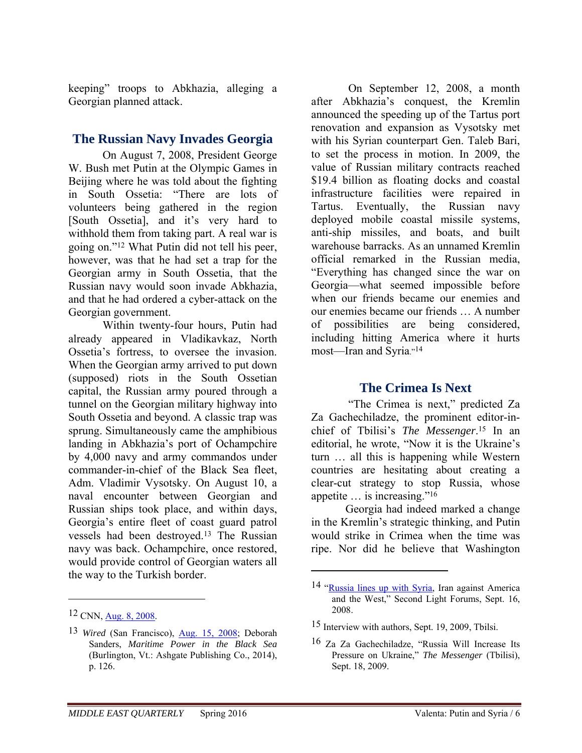keeping" troops to Abkhazia, alleging a Georgian planned attack.

#### **The Russian Navy Invades Georgia**

On August 7, 2008, President George W. Bush met Putin at the Olympic Games in Beijing where he was told about the fighting in South Ossetia: "There are lots of volunteers being gathered in the region [South Ossetia], and it's very hard to withhold them from taking part. A real war is going on."12 What Putin did not tell his peer, however, was that he had set a trap for the Georgian army in South Ossetia, that the Russian navy would soon invade Abkhazia, and that he had ordered a cyber-attack on the Georgian government.

Within twenty-four hours, Putin had already appeared in Vladikavkaz, North Ossetia's fortress, to oversee the invasion. When the Georgian army arrived to put down (supposed) riots in the South Ossetian capital, the Russian army poured through a tunnel on the Georgian military highway into South Ossetia and beyond. A classic trap was sprung. Simultaneously came the amphibious landing in Abkhazia's port of Ochampchire by 4,000 navy and army commandos under commander-in-chief of the Black Sea fleet, Adm. Vladimir Vysotsky. On August 10, a naval encounter between Georgian and Russian ships took place, and within days, Georgia's entire fleet of coast guard patrol vessels had been destroyed.13 The Russian navy was back. Ochampchire, once restored, would provide control of Georgian waters all the way to the Turkish border.

 $\overline{a}$ 

 On September 12, 2008, a month after Abkhazia's conquest, the Kremlin announced the speeding up of the Tartus port renovation and expansion as Vysotsky met with his Syrian counterpart Gen. Taleb Bari, to set the process in motion. In 2009, the value of Russian military contracts reached \$19.4 billion as floating docks and coastal infrastructure facilities were repaired in Tartus. Eventually, the Russian navy deployed mobile coastal missile systems, anti-ship missiles, and boats, and built warehouse barracks. As an unnamed Kremlin official remarked in the Russian media, "Everything has changed since the war on Georgia—what seemed impossible before when our friends became our enemies and our enemies became our friends … A number of possibilities are being considered, including hitting America where it hurts most—Iran and Syria."14

# **The Crimea Is Next**

 "The Crimea is next," predicted Za Za Gachechiladze, the prominent editor-inchief of Tbilisi's *The Messenger*. 15 In an editorial, he wrote, "Now it is the Ukraine's turn … all this is happening while Western countries are hesitating about creating a clear-cut strategy to stop Russia, whose appetite … is increasing."16

Georgia had indeed marked a change in the Kremlin's strategic thinking, and Putin would strike in Crimea when the time was ripe. Nor did he believe that Washington

<sup>12</sup> CNN, Aug. 8, 2008.

<sup>13</sup> *Wired* (San Francisco), Aug. 15, 2008; Deborah Sanders, *Maritime Power in the Black Sea* (Burlington, Vt.: Ashgate Publishing Co., 2014), p. 126.

<sup>14 &</sup>quot;Russia lines up with Syria, Iran against America and the West," Second Light Forums, Sept. 16, 2008.

<sup>15</sup> Interview with authors, Sept. 19, 2009, Tbilsi.

<sup>16</sup> Za Za Gachechiladze, "Russia Will Increase Its Pressure on Ukraine," *The Messenger* (Tbilisi), Sept. 18, 2009.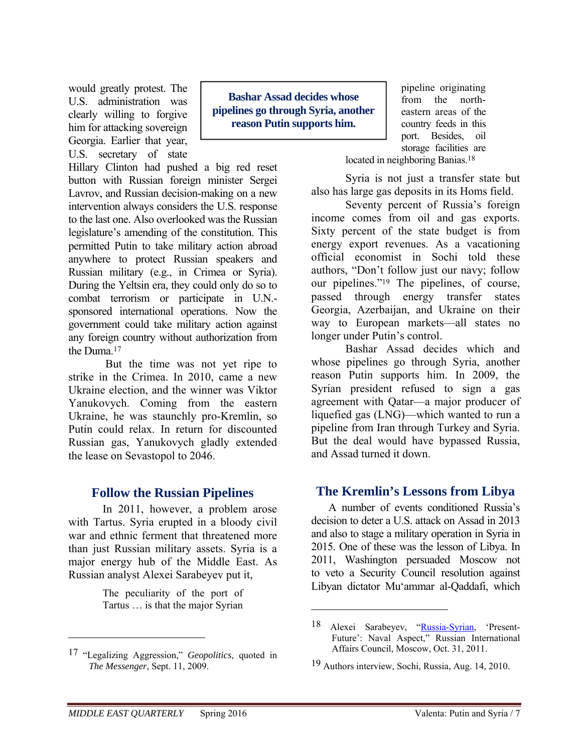would greatly protest. The U.S. administration was clearly willing to forgive him for attacking sovereign Georgia. Earlier that year, U.S. secretary of state

**Bashar Assad decides whose pipelines go through Syria, another reason Putin supports him.** 

Hillary Clinton had pushed a big red reset button with Russian foreign minister Sergei Lavrov, and Russian decision-making on a new intervention always considers the U.S. response to the last one. Also overlooked was the Russian legislature's amending of the constitution. This permitted Putin to take military action abroad anywhere to protect Russian speakers and Russian military (e.g., in Crimea or Syria). During the Yeltsin era, they could only do so to combat terrorism or participate in U.N. sponsored international operations. Now the government could take military action against any foreign country without authorization from the Duma.17

 But the time was not yet ripe to strike in the Crimea. In 2010, came a new Ukraine election, and the winner was Viktor Yanukovych. Coming from the eastern Ukraine, he was staunchly pro-Kremlin, so Putin could relax. In return for discounted Russian gas, Yanukovych gladly extended the lease on Sevastopol to 2046.

#### **Follow the Russian Pipelines**

In 2011, however, a problem arose with Tartus. Syria erupted in a bloody civil war and ethnic ferment that threatened more than just Russian military assets. Syria is a major energy hub of the Middle East. As Russian analyst Alexei Sarabeyev put it,

> The peculiarity of the port of Tartus … is that the major Syrian

pipeline originating from the northeastern areas of the country feeds in this port. Besides, oil storage facilities are

located in neighboring Banias.<sup>18</sup>

Syria is not just a transfer state but also has large gas deposits in its Homs field.

Seventy percent of Russia's foreign income comes from oil and gas exports. Sixty percent of the state budget is from energy export revenues. As a vacationing official economist in Sochi told these authors, "Don't follow just our navy; follow our pipelines."19 The pipelines, of course, passed through energy transfer states Georgia, Azerbaijan, and Ukraine on their way to European markets—all states no longer under Putin's control.

Bashar Assad decides which and whose pipelines go through Syria, another reason Putin supports him. In 2009, the Syrian president refused to sign a gas agreement with Qatar—a major producer of liquefied gas (LNG)—which wanted to run a pipeline from Iran through Turkey and Syria. But the deal would have bypassed Russia, and Assad turned it down.

#### **The Kremlin's Lessons from Libya**

 A number of events conditioned Russia's decision to deter a U.S. attack on Assad in 2013 and also to stage a military operation in Syria in 2015. One of these was the lesson of Libya. In 2011, Washington persuaded Moscow not to veto a Security Council resolution against Libyan dictator Mu'ammar al-Qaddafi, which

 $\overline{a}$ 

<sup>17 &</sup>quot;Legalizing Aggression," *Geopolitics*, quoted in *The Messenger*, Sept. 11, 2009.

<sup>18</sup> Alexei Sarabeyev, "Russia-Syrian, 'Present-Future': Naval Aspect," Russian International Affairs Council, Moscow, Oct. 31, 2011.

<sup>19</sup> Authors interview, Sochi, Russia, Aug. 14, 2010.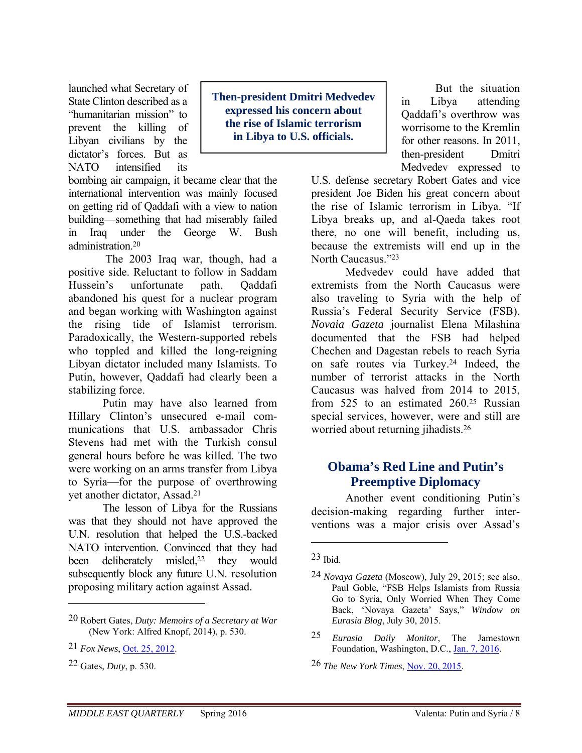launched what Secretary of State Clinton described as a "humanitarian mission" to prevent the killing of Libyan civilians by the dictator's forces. But as NATO intensified its

bombing air campaign, it became clear that the international intervention was mainly focused on getting rid of Qaddafi with a view to nation building—something that had miserably failed in Iraq under the George W. Bush administration.20

 The 2003 Iraq war, though, had a positive side. Reluctant to follow in Saddam Hussein's unfortunate path, Qaddafi abandoned his quest for a nuclear program and began working with Washington against the rising tide of Islamist terrorism. Paradoxically, the Western-supported rebels who toppled and killed the long-reigning Libyan dictator included many Islamists. To Putin, however, Qaddafi had clearly been a stabilizing force.

Putin may have also learned from Hillary Clinton's unsecured e-mail communications that U.S. ambassador Chris Stevens had met with the Turkish consul general hours before he was killed. The two were working on an arms transfer from Libya to Syria—for the purpose of overthrowing yet another dictator, Assad.21

The lesson of Libya for the Russians was that they should not have approved the U.N. resolution that helped the U.S.-backed NATO intervention. Convinced that they had been deliberately misled,<sup>22</sup> they would subsequently block any future U.N. resolution proposing military action against Assad*.* 

 $\overline{a}$ 

**Then-president Dmitri Medvedev expressed his concern about the rise of Islamic terrorism in Libya to U.S. officials.** 

But the situation in Libya attending Qaddafi's overthrow was worrisome to the Kremlin for other reasons. In 2011, then-president Dmitri Medvedev expressed to

U.S. defense secretary Robert Gates and vice president Joe Biden his great concern about the rise of Islamic terrorism in Libya. "If Libya breaks up, and al-Qaeda takes root there, no one will benefit, including us, because the extremists will end up in the North Caucasus<sup>"23</sup>

Medvedev could have added that extremists from the North Caucasus were also traveling to Syria with the help of Russia's Federal Security Service (FSB). *Novaia Gazeta* journalist Elena Milashina documented that the FSB had helped Chechen and Dagestan rebels to reach Syria on safe routes via Turkey.24 Indeed, the number of terrorist attacks in the North Caucasus was halved from 2014 to 2015, from 525 to an estimated 260.25 Russian special services, however, were and still are worried about returning jihadists.26

# **Obama's Red Line and Putin's Preemptive Diplomacy**

Another event conditioning Putin's decision-making regarding further interventions was a major crisis over Assad's

 $\overline{a}$ 

26 *The New York Times*, Nov. 20, 2015.

<sup>20</sup> Robert Gates, *Duty: Memoirs of a Secretary at War* (New York: Alfred Knopf, 2014), p. 530.

<sup>21</sup> *Fox News*, Oct. 25, 2012.

<sup>22</sup> Gates, *Duty*, p. 530.

 $23$  Ibid.

<sup>24</sup> *Novaya Gazeta* (Moscow), July 29, 2015; see also, Paul Goble, "FSB Helps Islamists from Russia Go to Syria, Only Worried When They Come Back, 'Novaya Gazeta' Says," *Window on Eurasia Blog*, July 30, 2015.

<sup>25</sup> *Eurasia Daily Monitor*, The Jamestown Foundation, Washington, D.C., Jan. 7, 2016.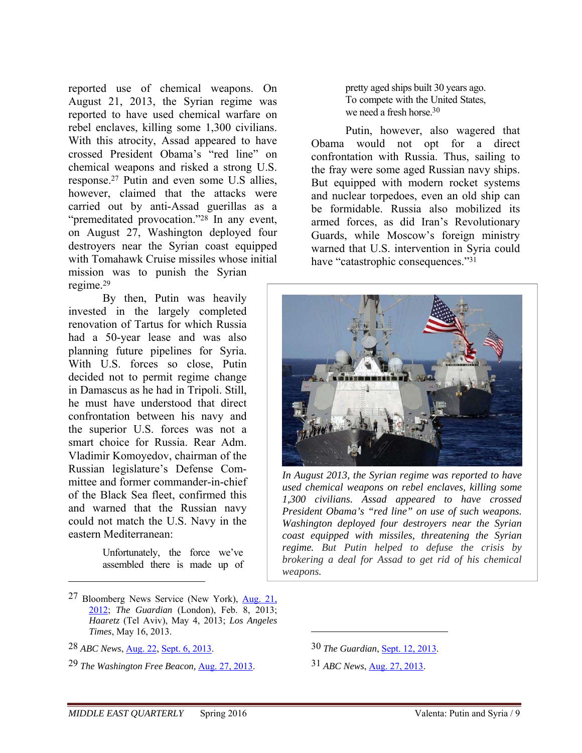reported use of chemical weapons. On August 21, 2013, the Syrian regime was reported to have used chemical warfare on rebel enclaves, killing some 1,300 civilians. With this atrocity, Assad appeared to have crossed President Obama's "red line" on chemical weapons and risked a strong U.S. response.27 Putin and even some U.S allies, however, claimed that the attacks were carried out by anti-Assad guerillas as a "premeditated provocation."28 In any event, on August 27, Washington deployed four destroyers near the Syrian coast equipped with Tomahawk Cruise missiles whose initial mission was to punish the Syrian regime.29

By then, Putin was heavily invested in the largely completed renovation of Tartus for which Russia had a 50-year lease and was also planning future pipelines for Syria. With U.S. forces so close, Putin decided not to permit regime change in Damascus as he had in Tripoli. Still, he must have understood that direct confrontation between his navy and the superior U.S. forces was not a smart choice for Russia. Rear Adm. Vladimir Komoyedov, chairman of the Russian legislature's Defense Committee and former commander-in-chief of the Black Sea fleet, confirmed this and warned that the Russian navy could not match the U.S. Navy in the eastern Mediterranean:

> Unfortunately, the force we've assembled there is made up of

 $\overline{a}$ 

pretty aged ships built 30 years ago. To compete with the United States, we need a fresh horse.30

Putin, however, also wagered that Obama would not opt for a direct confrontation with Russia. Thus, sailing to the fray were some aged Russian navy ships. But equipped with modern rocket systems and nuclear torpedoes, even an old ship can be formidable. Russia also mobilized its armed forces, as did Iran's Revolutionary Guards, while Moscow's foreign ministry warned that U.S. intervention in Syria could have "catastrophic consequences."31



*In August 2013, the Syrian regime was reported to have used chemical weapons on rebel enclaves, killing some 1,300 civilians. Assad appeared to have crossed President Obama's "red line" on use of such weapons. Washington deployed four destroyers near the Syrian coast equipped with missiles, threatening the Syrian regime. But Putin helped to defuse the crisis by brokering a deal for Assad to get rid of his chemical weapons.*

30 *The Guardian*, Sept. 12, 2013.

31 *ABC News*, Aug. 27, 2013.

<sup>27</sup> Bloomberg News Service (New York), Aug. 21, 2012; *The Guardian* (London), Feb. 8, 2013; *Haaretz* (Tel Aviv), May 4, 2013; *Los Angeles Times*, May 16, 2013.

<sup>28</sup> *ABC News*, Aug. 22, Sept. 6, 2013.

<sup>29</sup> *The Washington Free Beacon,* Aug. 27, 2013.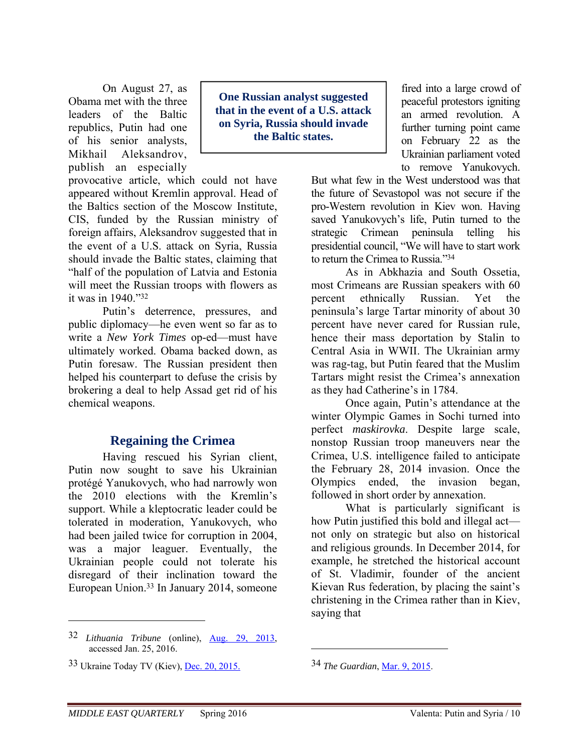On August 27, as Obama met with the three leaders of the Baltic republics, Putin had one of his senior analysts, Mikhail Aleksandrov, publish an especially

provocative article, which could not have appeared without Kremlin approval. Head of the Baltics section of the Moscow Institute, CIS, funded by the Russian ministry of foreign affairs, Aleksandrov suggested that in the event of a U.S. attack on Syria, Russia should invade the Baltic states, claiming that "half of the population of Latvia and Estonia will meet the Russian troops with flowers as it was in 1940."32

Putin's deterrence, pressures, and public diplomacy—he even went so far as to write a *New York Times* op-ed—must have ultimately worked. Obama backed down, as Putin foresaw. The Russian president then helped his counterpart to defuse the crisis by brokering a deal to help Assad get rid of his chemical weapons.

#### **Regaining the Crimea**

Having rescued his Syrian client, Putin now sought to save his Ukrainian protégé Yanukovych, who had narrowly won the 2010 elections with the Kremlin's support. While a kleptocratic leader could be tolerated in moderation, Yanukovych, who had been jailed twice for corruption in 2004, was a major leaguer. Eventually, the Ukrainian people could not tolerate his disregard of their inclination toward the European Union.33 In January 2014, someone

32 *Lithuania Tribune* (online), Aug. 29, 2013, accessed Jan. 25, 2016.

 $\overline{a}$ 

**One Russian analyst suggested that in the event of a U.S. attack on Syria, Russia should invade the Baltic states.** 

fired into a large crowd of peaceful protestors igniting an armed revolution. A further turning point came on February 22 as the Ukrainian parliament voted to remove Yanukovych.

But what few in the West understood was that the future of Sevastopol was not secure if the pro-Western revolution in Kiev won. Having saved Yanukovych's life, Putin turned to the strategic Crimean peninsula telling his presidential council, "We will have to start work to return the Crimea to Russia<sup>"34</sup>

As in Abkhazia and South Ossetia, most Crimeans are Russian speakers with 60 percent ethnically Russian. Yet the peninsula's large Tartar minority of about 30 percent have never cared for Russian rule, hence their mass deportation by Stalin to Central Asia in WWII. The Ukrainian army was rag-tag, but Putin feared that the Muslim Tartars might resist the Crimea's annexation as they had Catherine's in 1784.

Once again, Putin's attendance at the winter Olympic Games in Sochi turned into perfect *maskirovka*. Despite large scale, nonstop Russian troop maneuvers near the Crimea, U.S. intelligence failed to anticipate the February 28, 2014 invasion. Once the Olympics ended, the invasion began, followed in short order by annexation.

What is particularly significant is how Putin justified this bold and illegal act not only on strategic but also on historical and religious grounds. In December 2014, for example, he stretched the historical account of St. Vladimir, founder of the ancient Kievan Rus federation, by placing the saint's christening in the Crimea rather than in Kiev, saying that

34 *The Guardian*, Mar. 9, 2015.

<sup>33</sup> Ukraine Today TV (Kiev), Dec. 20, 2015.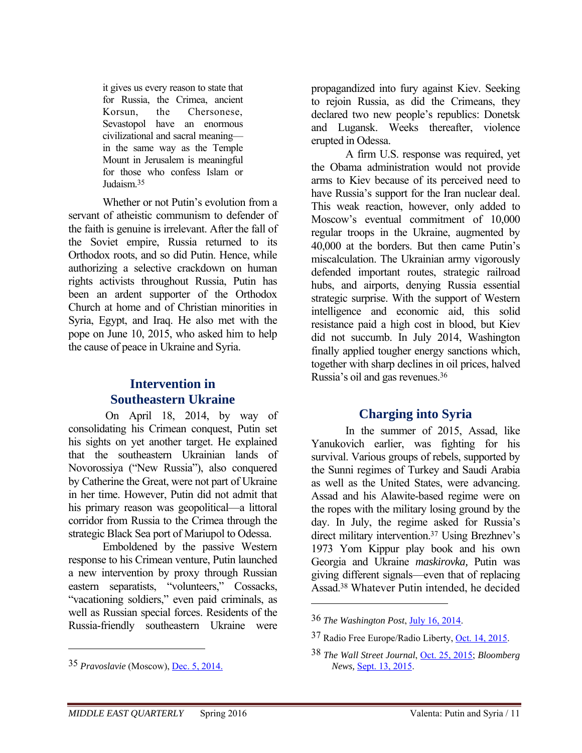it gives us every reason to state that for Russia, the Crimea, ancient Korsun, the Chersonese, Sevastopol have an enormous civilizational and sacral meaning in the same way as the Temple Mount in Jerusalem is meaningful for those who confess Islam or Judaism<sup>35</sup>

Whether or not Putin's evolution from a servant of atheistic communism to defender of the faith is genuine is irrelevant. After the fall of the Soviet empire, Russia returned to its Orthodox roots, and so did Putin. Hence, while authorizing a selective crackdown on human rights activists throughout Russia, Putin has been an ardent supporter of the Orthodox Church at home and of Christian minorities in Syria, Egypt, and Iraq. He also met with the pope on June 10, 2015, who asked him to help the cause of peace in Ukraine and Syria.

# **Intervention in Southeastern Ukraine**

 On April 18, 2014, by way of consolidating his Crimean conquest, Putin set his sights on yet another target. He explained that the southeastern Ukrainian lands of Novorossiya ("New Russia"), also conquered by Catherine the Great, were not part of Ukraine in her time. However, Putin did not admit that his primary reason was geopolitical—a littoral corridor from Russia to the Crimea through the strategic Black Sea port of Mariupol to Odessa.

Emboldened by the passive Western response to his Crimean venture, Putin launched a new intervention by proxy through Russian eastern separatists, "volunteers," Cossacks, "vacationing soldiers," even paid criminals, as well as Russian special forces. Residents of the Russia-friendly southeastern Ukraine were

35 *Pravoslavie* (Moscow), Dec. 5, 2014.

 $\overline{a}$ 

propagandized into fury against Kiev. Seeking to rejoin Russia, as did the Crimeans, they declared two new people's republics: Donetsk and Lugansk. Weeks thereafter, violence erupted in Odessa.

A firm U.S. response was required, yet the Obama administration would not provide arms to Kiev because of its perceived need to have Russia's support for the Iran nuclear deal. This weak reaction, however, only added to Moscow's eventual commitment of 10,000 regular troops in the Ukraine, augmented by 40,000 at the borders. But then came Putin's miscalculation. The Ukrainian army vigorously defended important routes, strategic railroad hubs, and airports, denying Russia essential strategic surprise. With the support of Western intelligence and economic aid, this solid resistance paid a high cost in blood, but Kiev did not succumb. In July 2014, Washington finally applied tougher energy sanctions which, together with sharp declines in oil prices, halved Russia's oil and gas revenues.36

# **Charging into Syria**

In the summer of 2015, Assad, like Yanukovich earlier, was fighting for his survival. Various groups of rebels, supported by the Sunni regimes of Turkey and Saudi Arabia as well as the United States, were advancing. Assad and his Alawite-based regime were on the ropes with the military losing ground by the day. In July, the regime asked for Russia's direct military intervention.37 Using Brezhnev's 1973 Yom Kippur play book and his own Georgia and Ukraine *maskirovka,* Putin was giving different signals—even that of replacing Assad.38 Whatever Putin intended, he decided

<sup>36</sup> *The Washington Post*, July 16, 2014.

<sup>37</sup> Radio Free Europe/Radio Liberty, Oct. 14, 2015.

<sup>38</sup> *The Wall Street Journal*, Oct. 25, 2015; *Bloomberg News,* Sept. 13, 2015.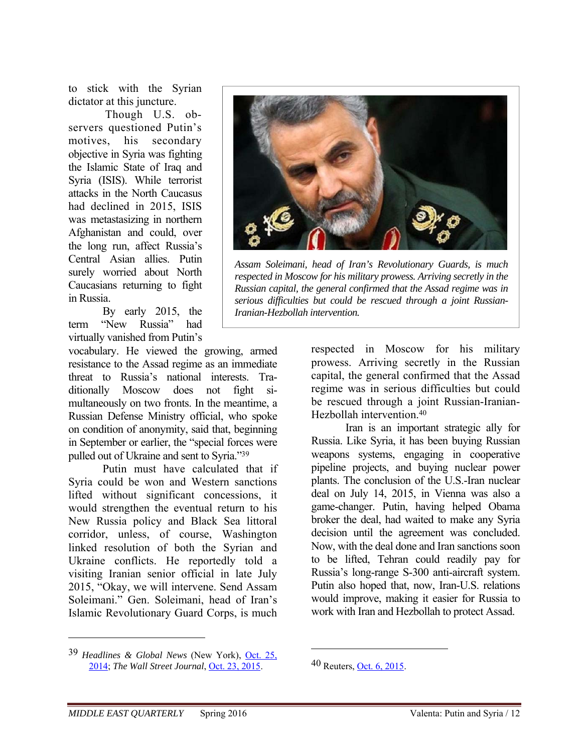to stick with the Syrian dictator at this juncture.

Though U.S. observers questioned Putin's motives, his secondary objective in Syria was fighting the Islamic State of Iraq and Syria (ISIS). While terrorist attacks in the North Caucasus had declined in 2015, ISIS was metastasizing in northern Afghanistan and could, over the long run, affect Russia's Central Asian allies. Putin surely worried about North Caucasians returning to fight in Russia.

By early 2015, the term "New Russia" had virtually vanished from Putin's

vocabulary. He viewed the growing, armed resistance to the Assad regime as an immediate threat to Russia's national interests. Traditionally Moscow does not fight simultaneously on two fronts. In the meantime, a Russian Defense Ministry official, who spoke on condition of anonymity, said that, beginning in September or earlier, the "special forces were pulled out of Ukraine and sent to Syria."39

Putin must have calculated that if Syria could be won and Western sanctions lifted without significant concessions, it would strengthen the eventual return to his New Russia policy and Black Sea littoral corridor, unless, of course, Washington linked resolution of both the Syrian and Ukraine conflicts. He reportedly told a visiting Iranian senior official in late July 2015, "Okay, we will intervene. Send Assam Soleimani." Gen. Soleimani, head of Iran's Islamic Revolutionary Guard Corps, is much



*Assam Soleimani, head of Iran's Revolutionary Guards, is much respected in Moscow for his military prowess. Arriving secretly in the Russian capital, the general confirmed that the Assad regime was in serious difficulties but could be rescued through a joint Russian-Iranian-Hezbollah intervention.*

respected in Moscow for his military prowess. Arriving secretly in the Russian capital, the general confirmed that the Assad regime was in serious difficulties but could be rescued through a joint Russian-Iranian-Hezbollah intervention.40

Iran is an important strategic ally for Russia. Like Syria, it has been buying Russian weapons systems, engaging in cooperative pipeline projects, and buying nuclear power plants. The conclusion of the U.S.-Iran nuclear deal on July 14, 2015, in Vienna was also a game-changer. Putin, having helped Obama broker the deal, had waited to make any Syria decision until the agreement was concluded. Now, with the deal done and Iran sanctions soon to be lifted, Tehran could readily pay for Russia's long-range S-300 anti-aircraft system. Putin also hoped that, now, Iran-U.S. relations would improve, making it easier for Russia to work with Iran and Hezbollah to protect Assad.

 $\overline{a}$ 

<u>.</u>

<sup>39</sup> *Headlines & Global News* (New York), Oct. 25, 2014; *The Wall Street Journal*, Oct. 23, 2015.

<sup>40</sup> Reuters, Oct. 6, 2015.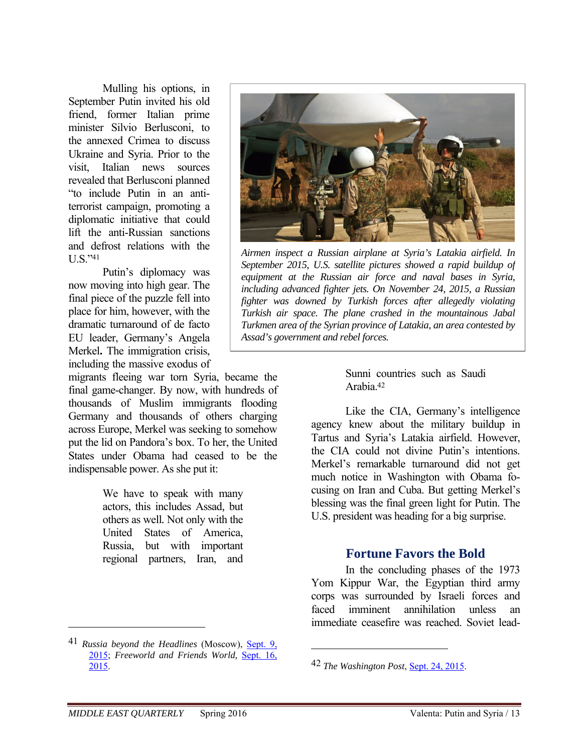Mulling his options, in September Putin invited his old friend, former Italian prime minister Silvio Berlusconi, to the annexed Crimea to discuss Ukraine and Syria. Prior to the visit, Italian news sources revealed that Berlusconi planned "to include Putin in an antiterrorist campaign, promoting a diplomatic initiative that could lift the anti-Russian sanctions and defrost relations with the  $II S$ ."41

Putin's diplomacy was now moving into high gear. The final piece of the puzzle fell into place for him, however, with the dramatic turnaround of de facto EU leader, Germany's Angela Merkel**.** The immigration crisis, including the massive exodus of

migrants fleeing war torn Syria, became the final game-changer. By now, with hundreds of thousands of Muslim immigrants flooding Germany and thousands of others charging across Europe, Merkel was seeking to somehow put the lid on Pandora's box. To her, the United States under Obama had ceased to be the indispensable power. As she put it:

> We have to speak with many actors, this includes Assad*,* but others as well*.* Not only with the United States of America, Russia, but with important regional partners, Iran, and



*Airmen inspect a Russian airplane at Syria's Latakia airfield. In September 2015, U.S. satellite pictures showed a rapid buildup of equipment at the Russian air force and naval bases in Syria, including advanced fighter jets. On November 24, 2015, a Russian fighter was downed by Turkish forces after allegedly violating Turkish air space. The plane crashed in the mountainous Jabal Turkmen area of the Syrian province of Latakia, an area contested by Assad's government and rebel forces.*

Sunni countries such as Saudi Arabia.42

Like the CIA, Germany's intelligence agency knew about the military buildup in Tartus and Syria's Latakia airfield. However, the CIA could not divine Putin's intentions. Merkel's remarkable turnaround did not get much notice in Washington with Obama focusing on Iran and Cuba. But getting Merkel's blessing was the final green light for Putin. The U.S. president was heading for a big surprise.

#### **Fortune Favors the Bold**

In the concluding phases of the 1973 Yom Kippur War, the Egyptian third army corps was surrounded by Israeli forces and faced imminent annihilation unless an immediate ceasefire was reached. Soviet lead-

 $\overline{a}$ 

<sup>41</sup> *Russia beyond the Headlines* (Moscow), Sept. 9, 2015; *Freeworld and Friends World,* Sept. 16, 2015.

<sup>42</sup> *The Washington Post*, Sept. 24, 2015.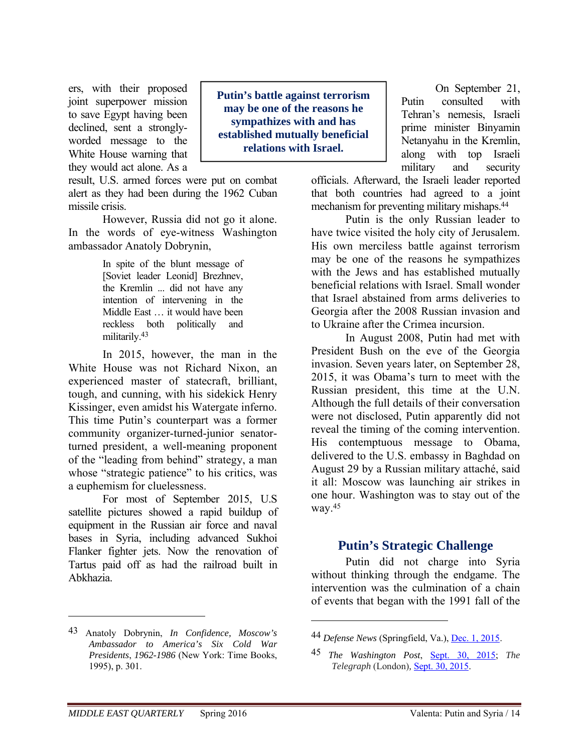ers, with their proposed joint superpower mission to save Egypt having been declined, sent a stronglyworded message to the White House warning that they would act alone. As a

result, U.S. armed forces were put on combat alert as they had been during the 1962 Cuban missile crisis.

However, Russia did not go it alone. In the words of eye-witness Washington ambassador Anatoly Dobrynin,

> In spite of the blunt message of [Soviet leader Leonid] Brezhnev, the Kremlin ... did not have any intention of intervening in the Middle East … it would have been reckless both politically and militarily.43

In 2015, however, the man in the White House was not Richard Nixon, an experienced master of statecraft, brilliant, tough, and cunning, with his sidekick Henry Kissinger, even amidst his Watergate inferno. This time Putin's counterpart was a former community organizer-turned-junior senatorturned president, a well-meaning proponent of the "leading from behind" strategy, a man whose "strategic patience" to his critics, was a euphemism for cluelessness.

For most of September 2015, U.S satellite pictures showed a rapid buildup of equipment in the Russian air force and naval bases in Syria, including advanced Sukhoi Flanker fighter jets. Now the renovation of Tartus paid off as had the railroad built in Abkhazia.

**Putin's battle against terrorism may be one of the reasons he sympathizes with and has established mutually beneficial relations with Israel.** 

On September 21, Putin consulted with Tehran's nemesis, Israeli prime minister Binyamin Netanyahu in the Kremlin, along with top Israeli military and security

officials. Afterward, the Israeli leader reported that both countries had agreed to a joint mechanism for preventing military mishaps.44

Putin is the only Russian leader to have twice visited the holy city of Jerusalem. His own merciless battle against terrorism may be one of the reasons he sympathizes with the Jews and has established mutually beneficial relations with Israel. Small wonder that Israel abstained from arms deliveries to Georgia after the 2008 Russian invasion and to Ukraine after the Crimea incursion.

In August 2008, Putin had met with President Bush on the eve of the Georgia invasion. Seven years later, on September 28, 2015, it was Obama's turn to meet with the Russian president, this time at the U.N. Although the full details of their conversation were not disclosed, Putin apparently did not reveal the timing of the coming intervention. His contemptuous message to Obama, delivered to the U.S. embassy in Baghdad on August 29 by a Russian military attaché, said it all: Moscow was launching air strikes in one hour. Washington was to stay out of the way.45

# **Putin's Strategic Challenge**

Putin did not charge into Syria without thinking through the endgame. The intervention was the culmination of a chain of events that began with the 1991 fall of the

 $\overline{a}$ 

<sup>43</sup> Anatoly Dobrynin, *In Confidence, Moscow's Ambassador to America's Six Cold War Presidents*, *1962-1986* (New York: Time Books, 1995), p. 301.

<sup>44</sup> *Defense News* (Springfield, Va.), Dec. 1, 2015.

<sup>45</sup> *The Washington Post*, Sept. 30, 2015; *The Telegraph* (London)*,* Sept. 30, 2015.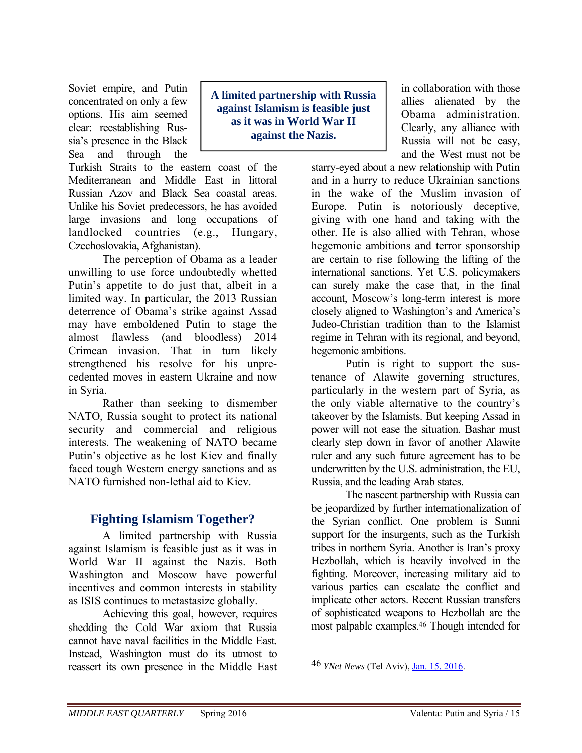Soviet empire, and Putin concentrated on only a few options. His aim seemed clear: reestablishing Russia's presence in the Black Sea and through the

Turkish Straits to the eastern coast of the Mediterranean and Middle East in littoral Russian Azov and Black Sea coastal areas. Unlike his Soviet predecessors, he has avoided large invasions and long occupations of landlocked countries (e.g., Hungary, Czechoslovakia, Afghanistan).

The perception of Obama as a leader unwilling to use force undoubtedly whetted Putin's appetite to do just that, albeit in a limited way. In particular, the 2013 Russian deterrence of Obama's strike against Assad may have emboldened Putin to stage the almost flawless (and bloodless) 2014 Crimean invasion. That in turn likely strengthened his resolve for his unprecedented moves in eastern Ukraine and now in Syria.

Rather than seeking to dismember NATO, Russia sought to protect its national security and commercial and religious interests. The weakening of NATO became Putin's objective as he lost Kiev and finally faced tough Western energy sanctions and as NATO furnished non-lethal aid to Kiev.

# **Fighting Islamism Together?**

A limited partnership with Russia against Islamism is feasible just as it was in World War II against the Nazis. Both Washington and Moscow have powerful incentives and common interests in stability as ISIS continues to metastasize globally.

Achieving this goal, however, requires shedding the Cold War axiom that Russia cannot have naval facilities in the Middle East. Instead, Washington must do its utmost to reassert its own presence in the Middle East

**A limited partnership with Russia against Islamism is feasible just as it was in World War II against the Nazis.** 

in collaboration with those allies alienated by the Obama administration. Clearly, any alliance with Russia will not be easy, and the West must not be

starry-eyed about a new relationship with Putin and in a hurry to reduce Ukrainian sanctions in the wake of the Muslim invasion of Europe. Putin is notoriously deceptive, giving with one hand and taking with the other. He is also allied with Tehran, whose hegemonic ambitions and terror sponsorship are certain to rise following the lifting of the international sanctions. Yet U.S. policymakers can surely make the case that, in the final account, Moscow's long-term interest is more closely aligned to Washington's and America's Judeo-Christian tradition than to the Islamist regime in Tehran with its regional, and beyond, hegemonic ambitions.

Putin is right to support the sustenance of Alawite governing structures, particularly in the western part of Syria, as the only viable alternative to the country's takeover by the Islamists. But keeping Assad in power will not ease the situation. Bashar must clearly step down in favor of another Alawite ruler and any such future agreement has to be underwritten by the U.S. administration, the EU, Russia, and the leading Arab states.

The nascent partnership with Russia can be jeopardized by further internationalization of the Syrian conflict. One problem is Sunni support for the insurgents, such as the Turkish tribes in northern Syria. Another is Iran's proxy Hezbollah, which is heavily involved in the fighting. Moreover, increasing military aid to various parties can escalate the conflict and implicate other actors. Recent Russian transfers of sophisticated weapons to Hezbollah are the most palpable examples.46 Though intended for

<sup>46</sup> *YNet News* (Tel Aviv), Jan. 15, 2016.